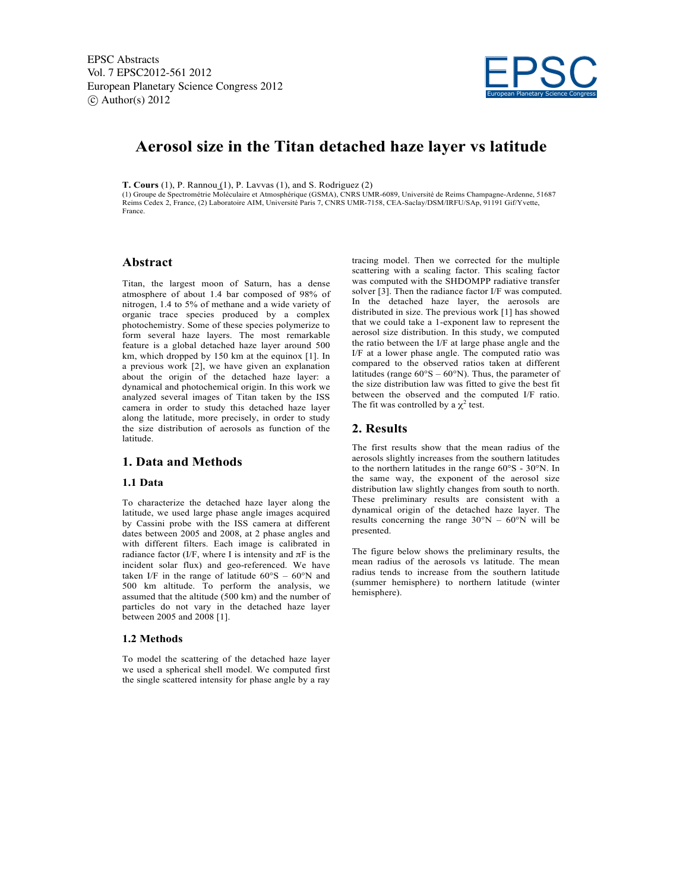

# **Aerosol size in the Titan detached haze layer vs latitude**

**T. Cours** (1), P. Rannou (1), P. Lavvas (1), and S. Rodriguez (2)

(1) Groupe de Spectrométrie Moléculaire et Atmosphérique (GSMA), CNRS UMR-6089, Université de Reims Champagne-Ardenne, 51687 Reims Cedex 2, France, (2) Laboratoire AIM, Université Paris 7, CNRS UMR-7158, CEA-Saclay/DSM/IRFU/SAp, 91191 Gif/Yvette, France.

### **Abstract**

Titan, the largest moon of Saturn, has a dense atmosphere of about 1.4 bar composed of 98% of nitrogen, 1.4 to 5% of methane and a wide variety of organic trace species produced by a complex photochemistry. Some of these species polymerize to form several haze layers. The most remarkable feature is a global detached haze layer around 500 km, which dropped by 150 km at the equinox [1]. In a previous work [2], we have given an explanation about the origin of the detached haze layer: a dynamical and photochemical origin. In this work we analyzed several images of Titan taken by the ISS camera in order to study this detached haze layer along the latitude, more precisely, in order to study the size distribution of aerosols as function of the latitude.

## **1. Data and Methods**

#### **1.1 Data**

To characterize the detached haze layer along the latitude, we used large phase angle images acquired by Cassini probe with the ISS camera at different dates between 2005 and 2008, at 2 phase angles and with different filters. Each image is calibrated in radiance factor (I/F, where I is intensity and  $π$ F is the incident solar flux) and geo-referenced. We have taken I/F in the range of latitude  $60^{\circ}S - 60^{\circ}N$  and 500 km altitude. To perform the analysis, we assumed that the altitude (500 km) and the number of particles do not vary in the detached haze layer between 2005 and 2008 [1].

#### **1.2 Methods**

To model the scattering of the detached haze layer we used a spherical shell model. We computed first the single scattered intensity for phase angle by a ray tracing model. Then we corrected for the multiple scattering with a scaling factor. This scaling factor was computed with the SHDOMPP radiative transfer solver [3]. Then the radiance factor I/F was computed. In the detached haze layer, the aerosols are distributed in size. The previous work [1] has showed that we could take a 1-exponent law to represent the aerosol size distribution. In this study, we computed the ratio between the I/F at large phase angle and the I/F at a lower phase angle. The computed ratio was compared to the observed ratios taken at different latitudes (range  $60^{\circ}S - 60^{\circ}N$ ). Thus, the parameter of the size distribution law was fitted to give the best fit between the observed and the computed I/F ratio. The fit was controlled by a  $\chi^2$  test.

#### **2. Results**

The first results show that the mean radius of the aerosols slightly increases from the southern latitudes to the northern latitudes in the range 60°S - 30°N. In the same way, the exponent of the aerosol size distribution law slightly changes from south to north. These preliminary results are consistent with a dynamical origin of the detached haze layer. The results concerning the range  $30^{\circ}N - 60^{\circ}N$  will be presented.

The figure below shows the preliminary results, the mean radius of the aerosols vs latitude. The mean radius tends to increase from the southern latitude (summer hemisphere) to northern latitude (winter hemisphere).